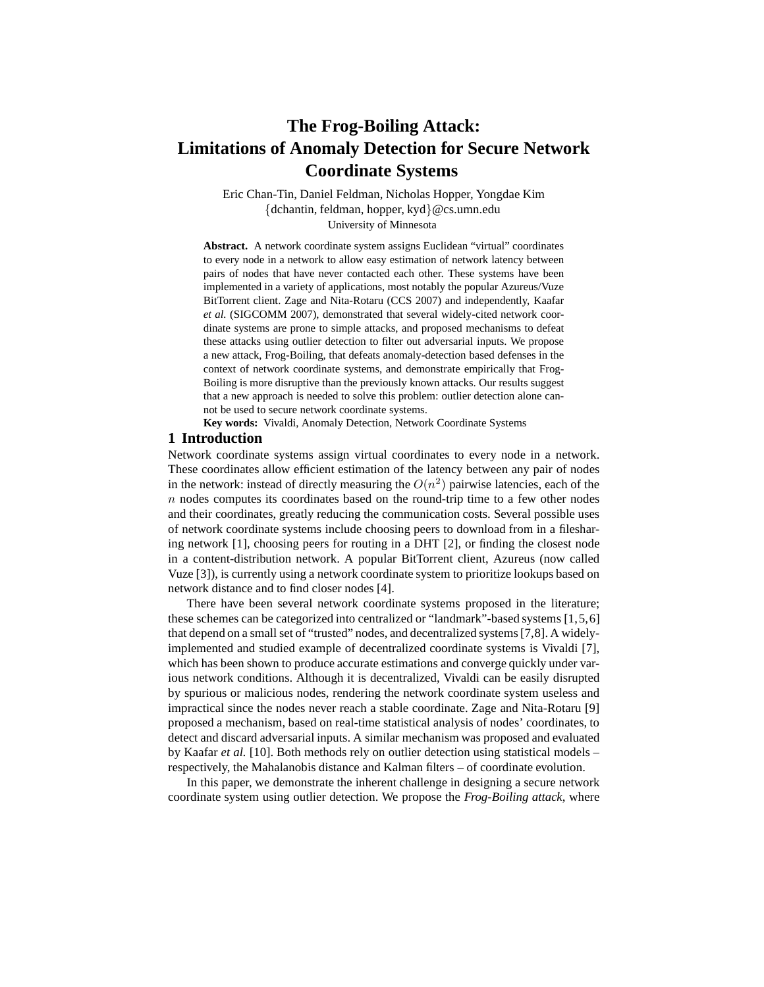# **The Frog-Boiling Attack: Limitations of Anomaly Detection for Secure Network Coordinate Systems**

Eric Chan-Tin, Daniel Feldman, Nicholas Hopper, Yongdae Kim {dchantin, feldman, hopper, kyd}@cs.umn.edu University of Minnesota

**Abstract.** A network coordinate system assigns Euclidean "virtual" coordinates to every node in a network to allow easy estimation of network latency between pairs of nodes that have never contacted each other. These systems have been implemented in a variety of applications, most notably the popular Azureus/Vuze BitTorrent client. Zage and Nita-Rotaru (CCS 2007) and independently, Kaafar *et al.* (SIGCOMM 2007), demonstrated that several widely-cited network coordinate systems are prone to simple attacks, and proposed mechanisms to defeat these attacks using outlier detection to filter out adversarial inputs. We propose a new attack, Frog-Boiling, that defeats anomaly-detection based defenses in the context of network coordinate systems, and demonstrate empirically that Frog-Boiling is more disruptive than the previously known attacks. Our results suggest that a new approach is needed to solve this problem: outlier detection alone cannot be used to secure network coordinate systems.

**Key words:** Vivaldi, Anomaly Detection, Network Coordinate Systems

# **1 Introduction**

Network coordinate systems assign virtual coordinates to every node in a network. These coordinates allow efficient estimation of the latency between any pair of nodes in the network: instead of directly measuring the  $O(n^2)$  pairwise latencies, each of the  $n$  nodes computes its coordinates based on the round-trip time to a few other nodes and their coordinates, greatly reducing the communication costs. Several possible uses of network coordinate systems include choosing peers to download from in a filesharing network [1], choosing peers for routing in a DHT [2], or finding the closest node in a content-distribution network. A popular BitTorrent client, Azureus (now called Vuze [3]), is currently using a network coordinate system to prioritize lookups based on network distance and to find closer nodes [4].

There have been several network coordinate systems proposed in the literature; these schemes can be categorized into centralized or "landmark"-based systems [1,5,6] that depend on a small set of "trusted" nodes, and decentralized systems [7,8]. A widelyimplemented and studied example of decentralized coordinate systems is Vivaldi [7], which has been shown to produce accurate estimations and converge quickly under various network conditions. Although it is decentralized, Vivaldi can be easily disrupted by spurious or malicious nodes, rendering the network coordinate system useless and impractical since the nodes never reach a stable coordinate. Zage and Nita-Rotaru [9] proposed a mechanism, based on real-time statistical analysis of nodes' coordinates, to detect and discard adversarial inputs. A similar mechanism was proposed and evaluated by Kaafar *et al.* [10]. Both methods rely on outlier detection using statistical models – respectively, the Mahalanobis distance and Kalman filters – of coordinate evolution.

In this paper, we demonstrate the inherent challenge in designing a secure network coordinate system using outlier detection. We propose the *Frog-Boiling attack*, where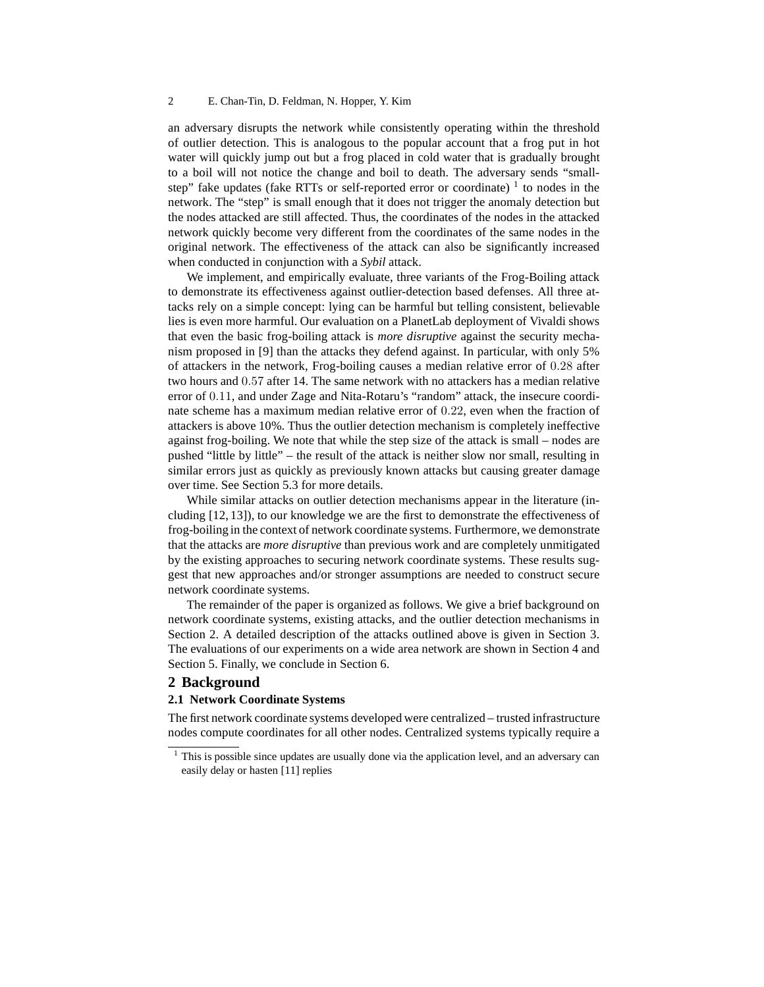# 2 E. Chan-Tin, D. Feldman, N. Hopper, Y. Kim

an adversary disrupts the network while consistently operating within the threshold of outlier detection. This is analogous to the popular account that a frog put in hot water will quickly jump out but a frog placed in cold water that is gradually brought to a boil will not notice the change and boil to death. The adversary sends "smallstep" fake updates (fake RTTs or self-reported error or coordinate)  $1$  to nodes in the network. The "step" is small enough that it does not trigger the anomaly detection but the nodes attacked are still affected. Thus, the coordinates of the nodes in the attacked network quickly become very different from the coordinates of the same nodes in the original network. The effectiveness of the attack can also be significantly increased when conducted in conjunction with a *Sybil* attack.

We implement, and empirically evaluate, three variants of the Frog-Boiling attack to demonstrate its effectiveness against outlier-detection based defenses. All three attacks rely on a simple concept: lying can be harmful but telling consistent, believable lies is even more harmful. Our evaluation on a PlanetLab deployment of Vivaldi shows that even the basic frog-boiling attack is *more disruptive* against the security mechanism proposed in [9] than the attacks they defend against. In particular, with only 5% of attackers in the network, Frog-boiling causes a median relative error of 0.28 after two hours and 0.57 after 14. The same network with no attackers has a median relative error of 0.11, and under Zage and Nita-Rotaru's "random" attack, the insecure coordinate scheme has a maximum median relative error of 0.22, even when the fraction of attackers is above 10%. Thus the outlier detection mechanism is completely ineffective against frog-boiling. We note that while the step size of the attack is small – nodes are pushed "little by little" – the result of the attack is neither slow nor small, resulting in similar errors just as quickly as previously known attacks but causing greater damage over time. See Section 5.3 for more details.

While similar attacks on outlier detection mechanisms appear in the literature (including [12, 13]), to our knowledge we are the first to demonstrate the effectiveness of frog-boiling in the context of network coordinate systems. Furthermore, we demonstrate that the attacks are *more disruptive* than previous work and are completely unmitigated by the existing approaches to securing network coordinate systems. These results suggest that new approaches and/or stronger assumptions are needed to construct secure network coordinate systems.

The remainder of the paper is organized as follows. We give a brief background on network coordinate systems, existing attacks, and the outlier detection mechanisms in Section 2. A detailed description of the attacks outlined above is given in Section 3. The evaluations of our experiments on a wide area network are shown in Section 4 and Section 5. Finally, we conclude in Section 6.

# **2 Background**

# **2.1 Network Coordinate Systems**

The first network coordinate systems developed were centralized – trusted infrastructure nodes compute coordinates for all other nodes. Centralized systems typically require a

 $1$  This is possible since updates are usually done via the application level, and an adversary can easily delay or hasten [11] replies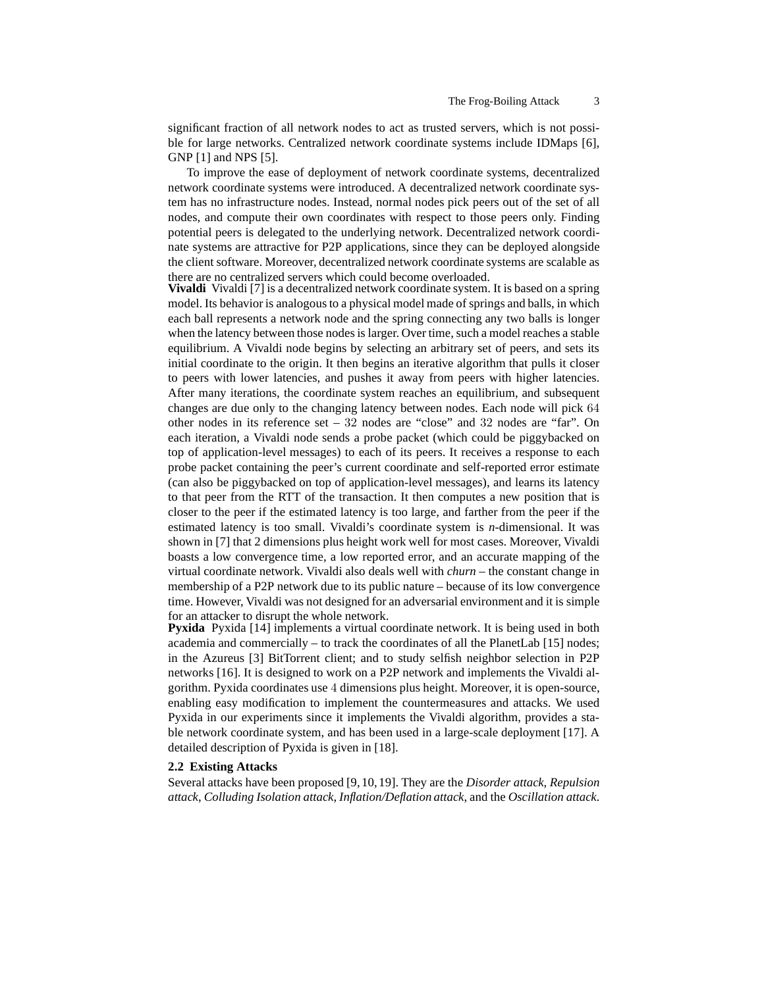significant fraction of all network nodes to act as trusted servers, which is not possible for large networks. Centralized network coordinate systems include IDMaps [6], GNP [1] and NPS [5].

To improve the ease of deployment of network coordinate systems, decentralized network coordinate systems were introduced. A decentralized network coordinate system has no infrastructure nodes. Instead, normal nodes pick peers out of the set of all nodes, and compute their own coordinates with respect to those peers only. Finding potential peers is delegated to the underlying network. Decentralized network coordinate systems are attractive for P2P applications, since they can be deployed alongside the client software. Moreover, decentralized network coordinate systems are scalable as there are no centralized servers which could become overloaded.

**Vivaldi** Vivaldi [7] is a decentralized network coordinate system. It is based on a spring model. Its behavior is analogous to a physical model made of springs and balls, in which each ball represents a network node and the spring connecting any two balls is longer when the latency between those nodes is larger. Over time, such a model reaches a stable equilibrium. A Vivaldi node begins by selecting an arbitrary set of peers, and sets its initial coordinate to the origin. It then begins an iterative algorithm that pulls it closer to peers with lower latencies, and pushes it away from peers with higher latencies. After many iterations, the coordinate system reaches an equilibrium, and subsequent changes are due only to the changing latency between nodes. Each node will pick 64 other nodes in its reference set – 32 nodes are "close" and 32 nodes are "far". On each iteration, a Vivaldi node sends a probe packet (which could be piggybacked on top of application-level messages) to each of its peers. It receives a response to each probe packet containing the peer's current coordinate and self-reported error estimate (can also be piggybacked on top of application-level messages), and learns its latency to that peer from the RTT of the transaction. It then computes a new position that is closer to the peer if the estimated latency is too large, and farther from the peer if the estimated latency is too small. Vivaldi's coordinate system is *n*-dimensional. It was shown in [7] that 2 dimensions plus height work well for most cases. Moreover, Vivaldi boasts a low convergence time, a low reported error, and an accurate mapping of the virtual coordinate network. Vivaldi also deals well with *churn* – the constant change in membership of a P2P network due to its public nature – because of its low convergence time. However, Vivaldi was not designed for an adversarial environment and it is simple for an attacker to disrupt the whole network.

**Pyxida** Pyxida [14] implements a virtual coordinate network. It is being used in both academia and commercially – to track the coordinates of all the PlanetLab [15] nodes; in the Azureus [3] BitTorrent client; and to study selfish neighbor selection in P2P networks [16]. It is designed to work on a P2P network and implements the Vivaldi algorithm. Pyxida coordinates use 4 dimensions plus height. Moreover, it is open-source, enabling easy modification to implement the countermeasures and attacks. We used Pyxida in our experiments since it implements the Vivaldi algorithm, provides a stable network coordinate system, and has been used in a large-scale deployment [17]. A detailed description of Pyxida is given in [18].

#### **2.2 Existing Attacks**

Several attacks have been proposed [9,10,19]. They are the *Disorder attack*, *Repulsion attack*, *Colluding Isolation attack*, *Inflation/Deflation attack*, and the *Oscillation attack*.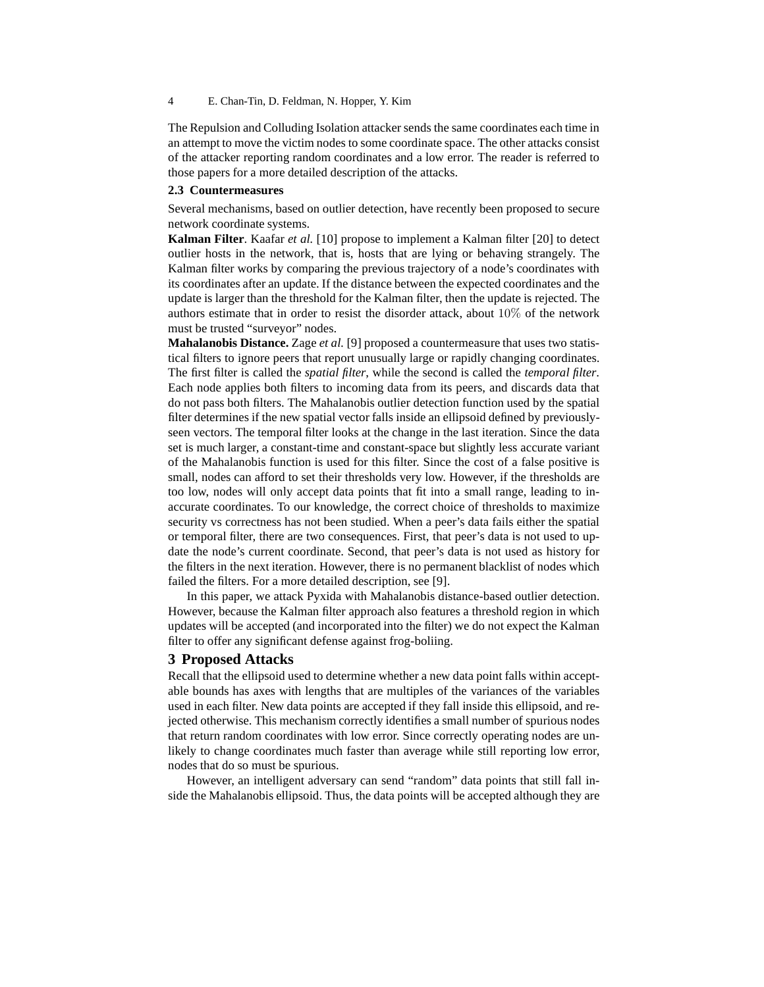The Repulsion and Colluding Isolation attacker sends the same coordinates each time in an attempt to move the victim nodes to some coordinate space. The other attacks consist of the attacker reporting random coordinates and a low error. The reader is referred to those papers for a more detailed description of the attacks.

## **2.3 Countermeasures**

Several mechanisms, based on outlier detection, have recently been proposed to secure network coordinate systems.

**Kalman Filter**. Kaafar *et al.* [10] propose to implement a Kalman filter [20] to detect outlier hosts in the network, that is, hosts that are lying or behaving strangely. The Kalman filter works by comparing the previous trajectory of a node's coordinates with its coordinates after an update. If the distance between the expected coordinates and the update is larger than the threshold for the Kalman filter, then the update is rejected. The authors estimate that in order to resist the disorder attack, about 10% of the network must be trusted "surveyor" nodes.

**Mahalanobis Distance.** Zage *et al.* [9] proposed a countermeasure that uses two statistical filters to ignore peers that report unusually large or rapidly changing coordinates. The first filter is called the *spatial filter*, while the second is called the *temporal filter*. Each node applies both filters to incoming data from its peers, and discards data that do not pass both filters. The Mahalanobis outlier detection function used by the spatial filter determines if the new spatial vector falls inside an ellipsoid defined by previouslyseen vectors. The temporal filter looks at the change in the last iteration. Since the data set is much larger, a constant-time and constant-space but slightly less accurate variant of the Mahalanobis function is used for this filter. Since the cost of a false positive is small, nodes can afford to set their thresholds very low. However, if the thresholds are too low, nodes will only accept data points that fit into a small range, leading to inaccurate coordinates. To our knowledge, the correct choice of thresholds to maximize security vs correctness has not been studied. When a peer's data fails either the spatial or temporal filter, there are two consequences. First, that peer's data is not used to update the node's current coordinate. Second, that peer's data is not used as history for the filters in the next iteration. However, there is no permanent blacklist of nodes which failed the filters. For a more detailed description, see [9].

In this paper, we attack Pyxida with Mahalanobis distance-based outlier detection. However, because the Kalman filter approach also features a threshold region in which updates will be accepted (and incorporated into the filter) we do not expect the Kalman filter to offer any significant defense against frog-boliing.

# **3 Proposed Attacks**

Recall that the ellipsoid used to determine whether a new data point falls within acceptable bounds has axes with lengths that are multiples of the variances of the variables used in each filter. New data points are accepted if they fall inside this ellipsoid, and rejected otherwise. This mechanism correctly identifies a small number of spurious nodes that return random coordinates with low error. Since correctly operating nodes are unlikely to change coordinates much faster than average while still reporting low error, nodes that do so must be spurious.

However, an intelligent adversary can send "random" data points that still fall inside the Mahalanobis ellipsoid. Thus, the data points will be accepted although they are

<sup>4</sup> E. Chan-Tin, D. Feldman, N. Hopper, Y. Kim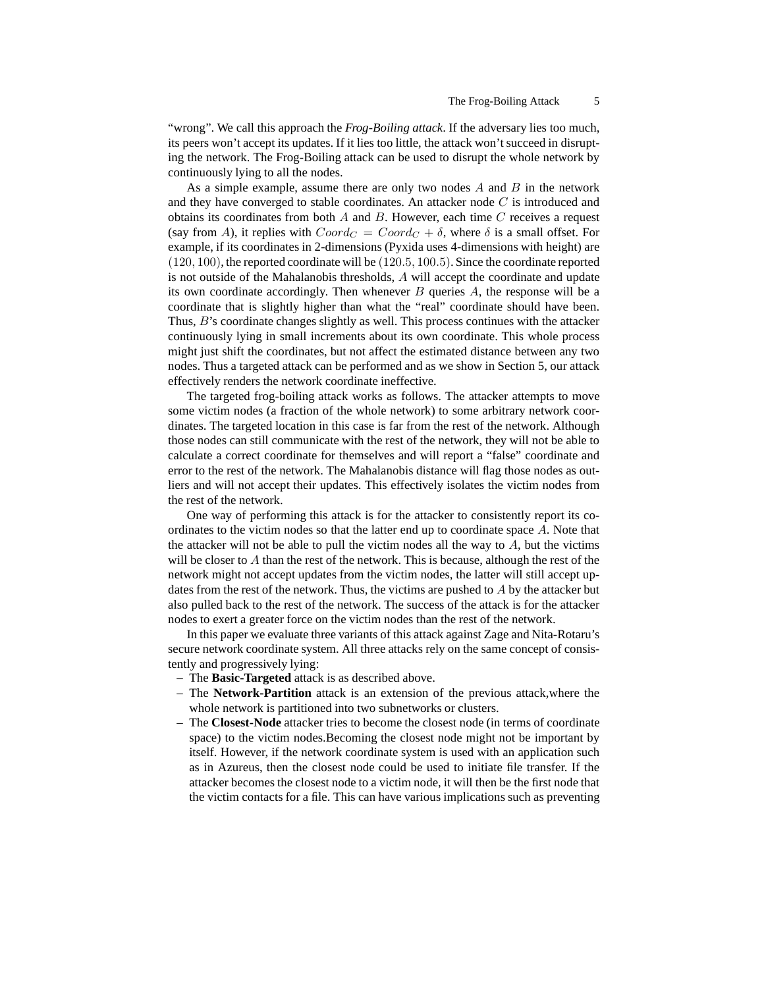"wrong". We call this approach the *Frog-Boiling attack*. If the adversary lies too much, its peers won't accept its updates. If it lies too little, the attack won't succeed in disrupting the network. The Frog-Boiling attack can be used to disrupt the whole network by continuously lying to all the nodes.

As a simple example, assume there are only two nodes  $A$  and  $B$  in the network and they have converged to stable coordinates. An attacker node  $C$  is introduced and obtains its coordinates from both  $A$  and  $B$ . However, each time  $C$  receives a request (say from A), it replies with  $Coord_C = Coord_C + \delta$ , where  $\delta$  is a small offset. For example, if its coordinates in 2-dimensions (Pyxida uses 4-dimensions with height) are (120, 100), the reported coordinate will be (120.5, 100.5). Since the coordinate reported is not outside of the Mahalanobis thresholds, A will accept the coordinate and update its own coordinate accordingly. Then whenever  $B$  queries  $A$ , the response will be a coordinate that is slightly higher than what the "real" coordinate should have been. Thus, B's coordinate changes slightly as well. This process continues with the attacker continuously lying in small increments about its own coordinate. This whole process might just shift the coordinates, but not affect the estimated distance between any two nodes. Thus a targeted attack can be performed and as we show in Section 5, our attack effectively renders the network coordinate ineffective.

The targeted frog-boiling attack works as follows. The attacker attempts to move some victim nodes (a fraction of the whole network) to some arbitrary network coordinates. The targeted location in this case is far from the rest of the network. Although those nodes can still communicate with the rest of the network, they will not be able to calculate a correct coordinate for themselves and will report a "false" coordinate and error to the rest of the network. The Mahalanobis distance will flag those nodes as outliers and will not accept their updates. This effectively isolates the victim nodes from the rest of the network.

One way of performing this attack is for the attacker to consistently report its coordinates to the victim nodes so that the latter end up to coordinate space  $A$ . Note that the attacker will not be able to pull the victim nodes all the way to  $A$ , but the victims will be closer to A than the rest of the network. This is because, although the rest of the network might not accept updates from the victim nodes, the latter will still accept updates from the rest of the network. Thus, the victims are pushed to A by the attacker but also pulled back to the rest of the network. The success of the attack is for the attacker nodes to exert a greater force on the victim nodes than the rest of the network.

In this paper we evaluate three variants of this attack against Zage and Nita-Rotaru's secure network coordinate system. All three attacks rely on the same concept of consistently and progressively lying:

- The **Basic-Targeted** attack is as described above.
- The **Network-Partition** attack is an extension of the previous attack,where the whole network is partitioned into two subnetworks or clusters.
- The **Closest-Node** attacker tries to become the closest node (in terms of coordinate space) to the victim nodes.Becoming the closest node might not be important by itself. However, if the network coordinate system is used with an application such as in Azureus, then the closest node could be used to initiate file transfer. If the attacker becomes the closest node to a victim node, it will then be the first node that the victim contacts for a file. This can have various implications such as preventing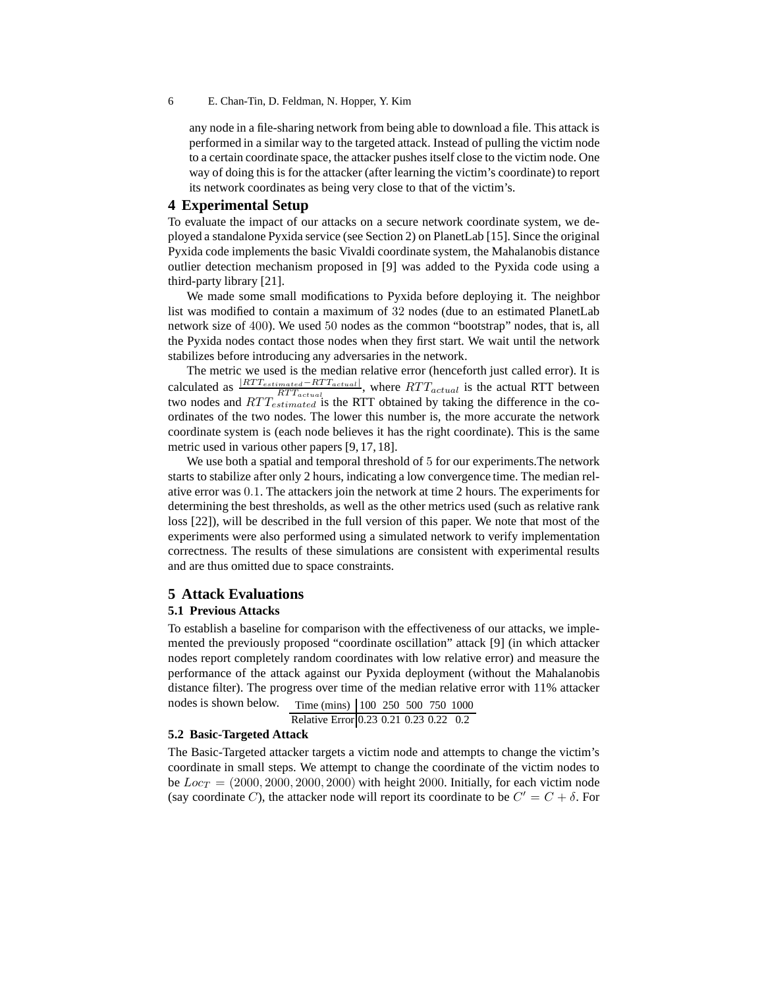any node in a file-sharing network from being able to download a file. This attack is performed in a similar way to the targeted attack. Instead of pulling the victim node to a certain coordinate space, the attacker pushes itself close to the victim node. One way of doing this is for the attacker (after learning the victim's coordinate) to report its network coordinates as being very close to that of the victim's.

# **4 Experimental Setup**

To evaluate the impact of our attacks on a secure network coordinate system, we deployed a standalone Pyxida service (see Section 2) on PlanetLab [15]. Since the original Pyxida code implements the basic Vivaldi coordinate system, the Mahalanobis distance outlier detection mechanism proposed in [9] was added to the Pyxida code using a third-party library [21].

We made some small modifications to Pyxida before deploying it. The neighbor list was modified to contain a maximum of 32 nodes (due to an estimated PlanetLab network size of 400). We used 50 nodes as the common "bootstrap" nodes, that is, all the Pyxida nodes contact those nodes when they first start. We wait until the network stabilizes before introducing any adversaries in the network.

The metric we used is the median relative error (henceforth just called error). It is calculated as  $\frac{|RTT_{estimated} - RTT_{actual}|}{RTT_{actual}}$ , where  $RTT_{actual}$  is the actual RTT between two nodes and  $RTT_{estimated}$  is the RTT obtained by taking the difference in the coordinates of the two nodes. The lower this number is, the more accurate the network coordinate system is (each node believes it has the right coordinate). This is the same metric used in various other papers [9, 17, 18].

We use both a spatial and temporal threshold of 5 for our experiments.The network starts to stabilize after only 2 hours, indicating a low convergence time. The median relative error was 0.1. The attackers join the network at time 2 hours. The experiments for determining the best thresholds, as well as the other metrics used (such as relative rank loss [22]), will be described in the full version of this paper. We note that most of the experiments were also performed using a simulated network to verify implementation correctness. The results of these simulations are consistent with experimental results and are thus omitted due to space constraints.

# **5 Attack Evaluations**

# **5.1 Previous Attacks**

To establish a baseline for comparison with the effectiveness of our attacks, we implemented the previously proposed "coordinate oscillation" attack [9] (in which attacker nodes report completely random coordinates with low relative error) and measure the performance of the attack against our Pyxida deployment (without the Mahalanobis distance filter). The progress over time of the median relative error with 11% attacker nodes is shown below. Time (mins) 100 250 500 750 1000

Relative Error 0.23 0.21 0.23 0.22 0.2

# **5.2 Basic-Targeted Attack**

The Basic-Targeted attacker targets a victim node and attempts to change the victim's coordinate in small steps. We attempt to change the coordinate of the victim nodes to be  $Loc_T = (2000, 2000, 2000, 2000)$  with height 2000. Initially, for each victim node (say coordinate C), the attacker node will report its coordinate to be  $C' = C + \delta$ . For

<sup>6</sup> E. Chan-Tin, D. Feldman, N. Hopper, Y. Kim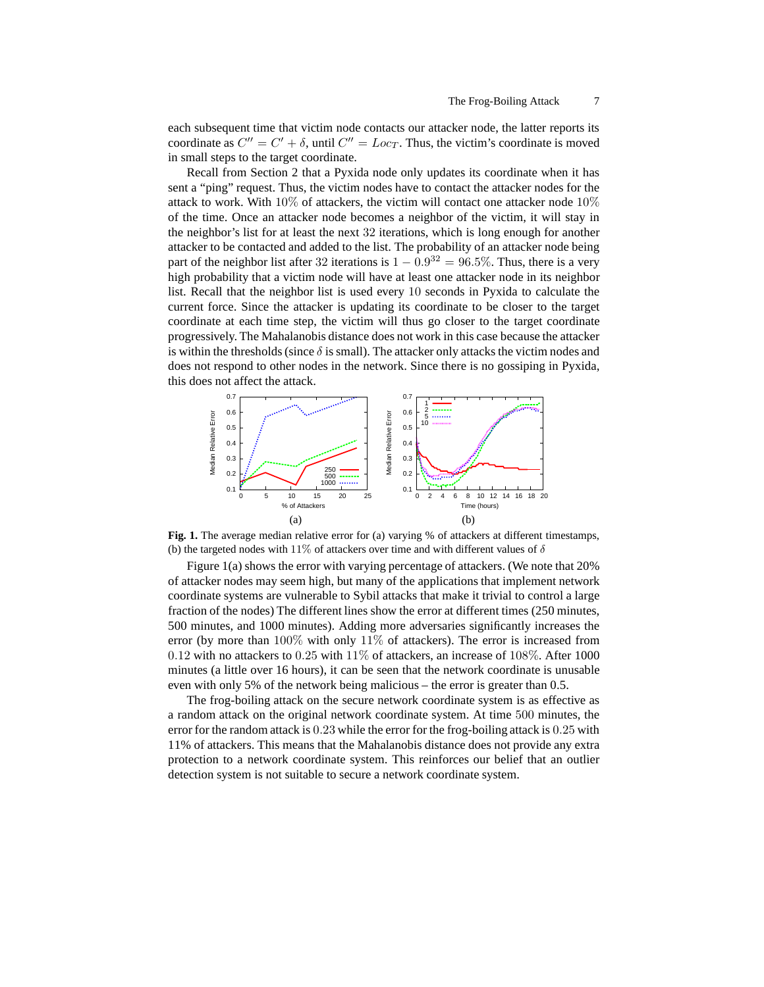each subsequent time that victim node contacts our attacker node, the latter reports its coordinate as  $C'' = C' + \delta$ , until  $C'' = Loc_T$ . Thus, the victim's coordinate is moved in small steps to the target coordinate.

Recall from Section 2 that a Pyxida node only updates its coordinate when it has sent a "ping" request. Thus, the victim nodes have to contact the attacker nodes for the attack to work. With  $10\%$  of attackers, the victim will contact one attacker node  $10\%$ of the time. Once an attacker node becomes a neighbor of the victim, it will stay in the neighbor's list for at least the next 32 iterations, which is long enough for another attacker to be contacted and added to the list. The probability of an attacker node being part of the neighbor list after 32 iterations is  $1 - 0.9^{32} = 96.5\%$ . Thus, there is a very high probability that a victim node will have at least one attacker node in its neighbor list. Recall that the neighbor list is used every 10 seconds in Pyxida to calculate the current force. Since the attacker is updating its coordinate to be closer to the target coordinate at each time step, the victim will thus go closer to the target coordinate progressively. The Mahalanobis distance does not work in this case because the attacker is within the thresholds (since  $\delta$  is small). The attacker only attacks the victim nodes and does not respond to other nodes in the network. Since there is no gossiping in Pyxida, this does not affect the attack.



**Fig. 1.** The average median relative error for (a) varying % of attackers at different timestamps, (b) the targeted nodes with 11% of attackers over time and with different values of  $\delta$ 

Figure 1(a) shows the error with varying percentage of attackers. (We note that 20% of attacker nodes may seem high, but many of the applications that implement network coordinate systems are vulnerable to Sybil attacks that make it trivial to control a large fraction of the nodes) The different lines show the error at different times (250 minutes, 500 minutes, and 1000 minutes). Adding more adversaries significantly increases the error (by more than  $100\%$  with only  $11\%$  of attackers). The error is increased from 0.12 with no attackers to 0.25 with  $11\%$  of attackers, an increase of 108%. After 1000 minutes (a little over 16 hours), it can be seen that the network coordinate is unusable even with only 5% of the network being malicious – the error is greater than 0.5.

The frog-boiling attack on the secure network coordinate system is as effective as a random attack on the original network coordinate system. At time 500 minutes, the error for the random attack is 0.23 while the error for the frog-boiling attack is 0.25 with 11% of attackers. This means that the Mahalanobis distance does not provide any extra protection to a network coordinate system. This reinforces our belief that an outlier detection system is not suitable to secure a network coordinate system.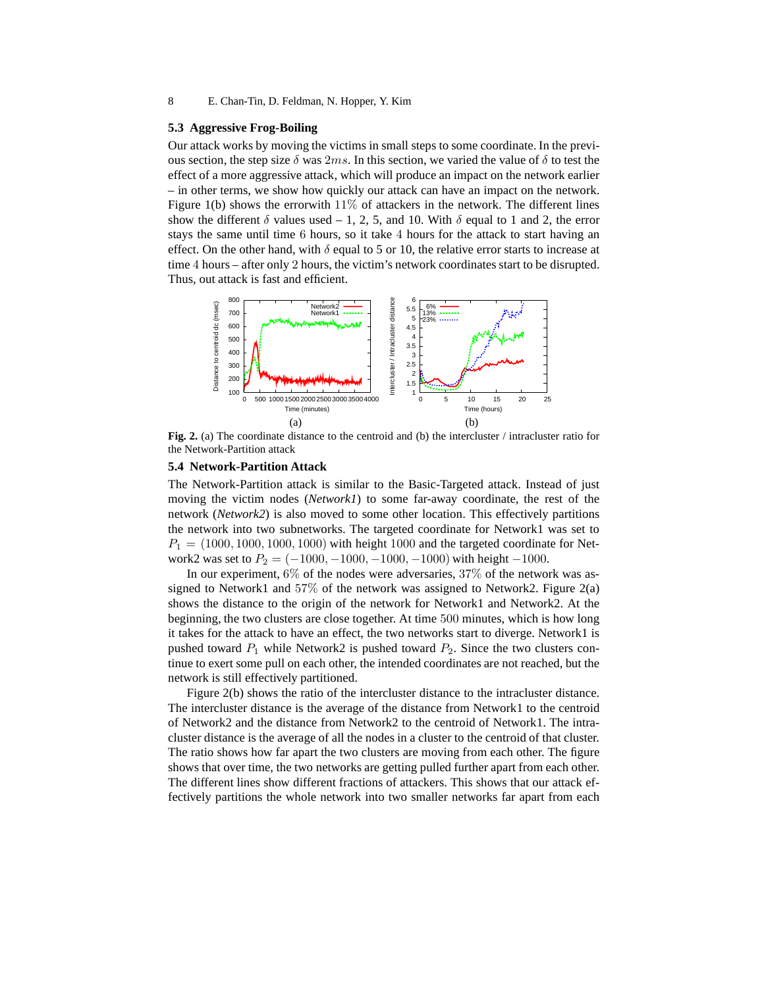# **5.3 Aggressive Frog-Boiling**

Our attack works by moving the victims in small steps to some coordinate. In the previous section, the step size  $\delta$  was 2ms. In this section, we varied the value of  $\delta$  to test the effect of a more aggressive attack, which will produce an impact on the network earlier – in other terms, we show how quickly our attack can have an impact on the network. Figure 1(b) shows the errorwith  $11\%$  of attackers in the network. The different lines show the different  $\delta$  values used – 1, 2, 5, and 10. With  $\delta$  equal to 1 and 2, the error stays the same until time 6 hours, so it take 4 hours for the attack to start having an effect. On the other hand, with  $\delta$  equal to 5 or 10, the relative error starts to increase at time 4 hours – after only 2 hours, the victim's network coordinates start to be disrupted. Thus, out attack is fast and efficient.



**Fig. 2.** (a) The coordinate distance to the centroid and (b) the intercluster / intracluster ratio for the Network-Partition attack

#### **5.4 Network-Partition Attack**

The Network-Partition attack is similar to the Basic-Targeted attack. Instead of just moving the victim nodes (*Network1*) to some far-away coordinate, the rest of the network (*Network2*) is also moved to some other location. This effectively partitions the network into two subnetworks. The targeted coordinate for Network1 was set to  $P_1 = (1000, 1000, 1000, 1000)$  with height 1000 and the targeted coordinate for Network2 was set to  $P_2 = (-1000, -1000, -1000, -1000)$  with height  $-1000$ .

In our experiment, 6% of the nodes were adversaries, 37% of the network was assigned to Network1 and  $57\%$  of the network was assigned to Network2. Figure 2(a) shows the distance to the origin of the network for Network1 and Network2. At the beginning, the two clusters are close together. At time 500 minutes, which is how long it takes for the attack to have an effect, the two networks start to diverge. Network1 is pushed toward  $P_1$  while Network2 is pushed toward  $P_2$ . Since the two clusters continue to exert some pull on each other, the intended coordinates are not reached, but the network is still effectively partitioned.

Figure 2(b) shows the ratio of the intercluster distance to the intracluster distance. The intercluster distance is the average of the distance from Network1 to the centroid of Network2 and the distance from Network2 to the centroid of Network1. The intracluster distance is the average of all the nodes in a cluster to the centroid of that cluster. The ratio shows how far apart the two clusters are moving from each other. The figure shows that over time, the two networks are getting pulled further apart from each other. The different lines show different fractions of attackers. This shows that our attack effectively partitions the whole network into two smaller networks far apart from each

<sup>8</sup> E. Chan-Tin, D. Feldman, N. Hopper, Y. Kim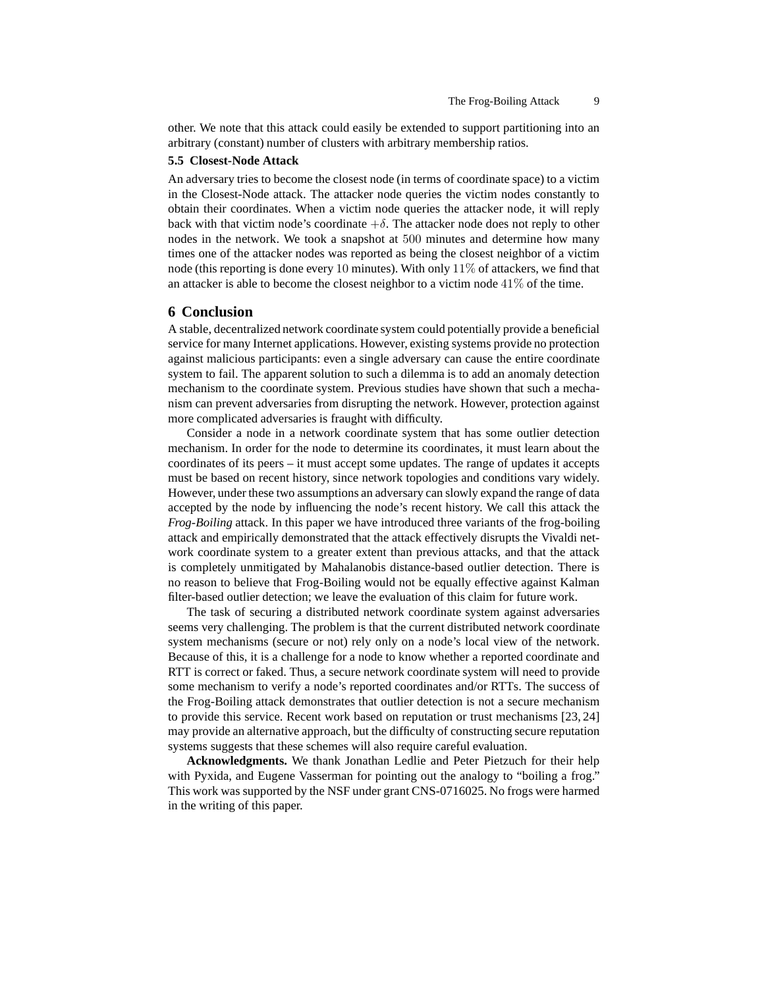other. We note that this attack could easily be extended to support partitioning into an arbitrary (constant) number of clusters with arbitrary membership ratios.

#### **5.5 Closest-Node Attack**

An adversary tries to become the closest node (in terms of coordinate space) to a victim in the Closest-Node attack. The attacker node queries the victim nodes constantly to obtain their coordinates. When a victim node queries the attacker node, it will reply back with that victim node's coordinate  $+\delta$ . The attacker node does not reply to other nodes in the network. We took a snapshot at 500 minutes and determine how many times one of the attacker nodes was reported as being the closest neighbor of a victim node (this reporting is done every 10 minutes). With only 11% of attackers, we find that an attacker is able to become the closest neighbor to a victim node 41% of the time.

#### **6 Conclusion**

A stable, decentralized network coordinate system could potentially provide a beneficial service for many Internet applications. However, existing systems provide no protection against malicious participants: even a single adversary can cause the entire coordinate system to fail. The apparent solution to such a dilemma is to add an anomaly detection mechanism to the coordinate system. Previous studies have shown that such a mechanism can prevent adversaries from disrupting the network. However, protection against more complicated adversaries is fraught with difficulty.

Consider a node in a network coordinate system that has some outlier detection mechanism. In order for the node to determine its coordinates, it must learn about the coordinates of its peers – it must accept some updates. The range of updates it accepts must be based on recent history, since network topologies and conditions vary widely. However, under these two assumptions an adversary can slowly expand the range of data accepted by the node by influencing the node's recent history. We call this attack the *Frog-Boiling* attack. In this paper we have introduced three variants of the frog-boiling attack and empirically demonstrated that the attack effectively disrupts the Vivaldi network coordinate system to a greater extent than previous attacks, and that the attack is completely unmitigated by Mahalanobis distance-based outlier detection. There is no reason to believe that Frog-Boiling would not be equally effective against Kalman filter-based outlier detection; we leave the evaluation of this claim for future work.

The task of securing a distributed network coordinate system against adversaries seems very challenging. The problem is that the current distributed network coordinate system mechanisms (secure or not) rely only on a node's local view of the network. Because of this, it is a challenge for a node to know whether a reported coordinate and RTT is correct or faked. Thus, a secure network coordinate system will need to provide some mechanism to verify a node's reported coordinates and/or RTTs. The success of the Frog-Boiling attack demonstrates that outlier detection is not a secure mechanism to provide this service. Recent work based on reputation or trust mechanisms [23, 24] may provide an alternative approach, but the difficulty of constructing secure reputation systems suggests that these schemes will also require careful evaluation.

**Acknowledgments.** We thank Jonathan Ledlie and Peter Pietzuch for their help with Pyxida, and Eugene Vasserman for pointing out the analogy to "boiling a frog." This work was supported by the NSF under grant CNS-0716025. No frogs were harmed in the writing of this paper.